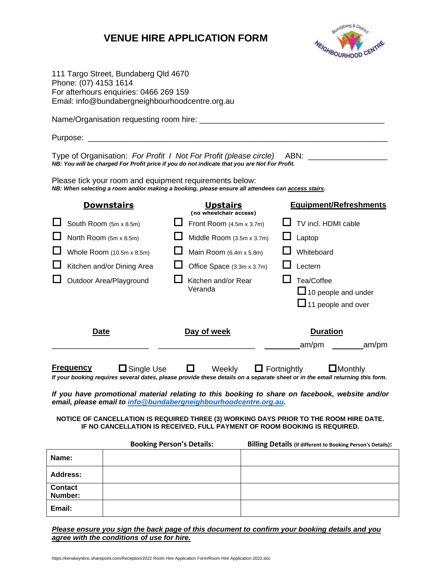# **VENUE HIRE APPLICATION FORM**



|       | Phone: (07) 4153 1614                                                             | 111 Targo Street, Bundaberg Qld 4670<br>For afterhours enquiries: 0466 269 159<br>Email: info@bundabergneighbourhoodcentre.org.au                            |                                                                                                                      |                                                    |  |                                                                                                                                                                                                                                                                                                                                                                                                                                            |
|-------|-----------------------------------------------------------------------------------|--------------------------------------------------------------------------------------------------------------------------------------------------------------|----------------------------------------------------------------------------------------------------------------------|----------------------------------------------------|--|--------------------------------------------------------------------------------------------------------------------------------------------------------------------------------------------------------------------------------------------------------------------------------------------------------------------------------------------------------------------------------------------------------------------------------------------|
|       |                                                                                   |                                                                                                                                                              |                                                                                                                      |                                                    |  |                                                                                                                                                                                                                                                                                                                                                                                                                                            |
|       |                                                                                   |                                                                                                                                                              |                                                                                                                      |                                                    |  |                                                                                                                                                                                                                                                                                                                                                                                                                                            |
|       |                                                                                   | NB: You will be charged For Profit price if you do not indicate that you are Not For Profit.                                                                 |                                                                                                                      |                                                    |  | Type of Organisation: For Profit 1 Not For Profit (please circle) ABN: ________________                                                                                                                                                                                                                                                                                                                                                    |
|       |                                                                                   | Please tick your room and equipment requirements below:<br>NB: When selecting a room and/or making a booking, please ensure all attendees can access stairs. |                                                                                                                      |                                                    |  |                                                                                                                                                                                                                                                                                                                                                                                                                                            |
|       |                                                                                   | <b>Downstairs</b>                                                                                                                                            |                                                                                                                      | <b>Upstairs</b><br>(no wheelchair access)          |  | <b>Equipment/Refreshments</b>                                                                                                                                                                                                                                                                                                                                                                                                              |
|       |                                                                                   | South Room (5m x 8.5m)                                                                                                                                       |                                                                                                                      | Front Room $(4.5m \times 3.7m)$                    |  | TV incl. HDMI cable                                                                                                                                                                                                                                                                                                                                                                                                                        |
|       | North Room (5m x 8.5m)<br>Whole Room (10.5m x 8.5m)<br>Kitchen and/or Dining Area |                                                                                                                                                              | Middle Room (3.5m x 3.7m)<br>Main Room (6.4m x 5.8m)<br>Office Space (3.3m x 3.7m)<br>Kitchen and/or Rear<br>Veranda |                                                    |  | Laptop<br>Whiteboard<br>Lectern                                                                                                                                                                                                                                                                                                                                                                                                            |
|       |                                                                                   |                                                                                                                                                              |                                                                                                                      |                                                    |  |                                                                                                                                                                                                                                                                                                                                                                                                                                            |
|       |                                                                                   |                                                                                                                                                              |                                                                                                                      |                                                    |  |                                                                                                                                                                                                                                                                                                                                                                                                                                            |
|       | Outdoor Area/Playground                                                           |                                                                                                                                                              |                                                                                                                      |                                                    |  | Tea/Coffee<br>$\Box$ 10 people and under<br>$\Box$ 11 people and over                                                                                                                                                                                                                                                                                                                                                                      |
|       | <u>Date</u>                                                                       |                                                                                                                                                              |                                                                                                                      | Day of week                                        |  | <b>Duration</b>                                                                                                                                                                                                                                                                                                                                                                                                                            |
|       | <u>Frequency</u>                                                                  | email, please email to info@bundabergneighbourhoodcentre.org.au.                                                                                             |                                                                                                                      | $\Box$ Single Use $\Box$ Weekly $\Box$ Fortnightly |  | am/pm<br>am/pm<br>$\Box$ Monthly<br>If your booking requires several dates, please provide these details on a separate sheet or in the email returning this form.<br>If you have promotional material relating to this booking to share on facebook, website and/or<br>NOTICE OF CANCELLATION IS REQUIRED THREE (3) WORKING DAYS PRIOR TO THE ROOM HIRE DATE.<br>IF NO CANCELLATION IS RECEIVED, FULL PAYMENT OF ROOM BOOKING IS REQUIRED. |
|       |                                                                                   | <b>Booking Person's Details:</b>                                                                                                                             |                                                                                                                      |                                                    |  | <b>Billing Details (if different to Booking Person's Details):</b>                                                                                                                                                                                                                                                                                                                                                                         |
| Name: |                                                                                   |                                                                                                                                                              |                                                                                                                      |                                                    |  |                                                                                                                                                                                                                                                                                                                                                                                                                                            |
|       | <b>Address:</b>                                                                   |                                                                                                                                                              |                                                                                                                      |                                                    |  |                                                                                                                                                                                                                                                                                                                                                                                                                                            |
|       | <b>Contact</b><br>Number:                                                         |                                                                                                                                                              |                                                                                                                      |                                                    |  |                                                                                                                                                                                                                                                                                                                                                                                                                                            |

*Please ensure you sign the back page of this document to confirm your booking details and you agree with the conditions of use for hire.*

**Email:**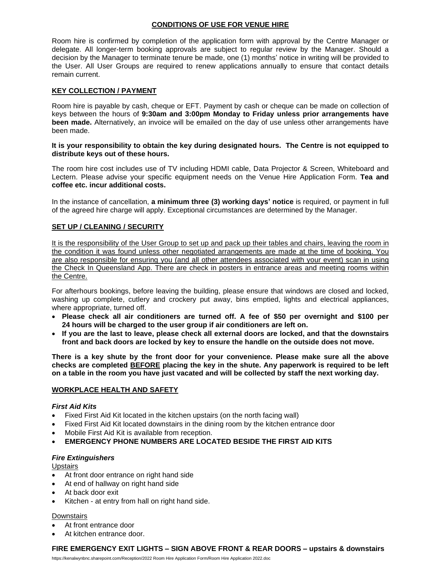## **CONDITIONS OF USE FOR VENUE HIRE**

Room hire is confirmed by completion of the application form with approval by the Centre Manager or delegate. All longer-term booking approvals are subject to regular review by the Manager. Should a decision by the Manager to terminate tenure be made, one (1) months' notice in writing will be provided to the User. All User Groups are required to renew applications annually to ensure that contact details remain current.

## **KEY COLLECTION / PAYMENT**

Room hire is payable by cash, cheque or EFT. Payment by cash or cheque can be made on collection of keys between the hours of **9:30am and 3:00pm Monday to Friday unless prior arrangements have been made.** Alternatively, an invoice will be emailed on the day of use unless other arrangements have been made.

#### **It is your responsibility to obtain the key during designated hours. The Centre is not equipped to distribute keys out of these hours.**

The room hire cost includes use of TV including HDMI cable, Data Projector & Screen, Whiteboard and Lectern. Please advise your specific equipment needs on the Venue Hire Application Form. **Tea and coffee etc. incur additional costs.**

In the instance of cancellation, **a minimum three (3) working days' notice** is required, or payment in full of the agreed hire charge will apply. Exceptional circumstances are determined by the Manager.

## **SET UP / CLEANING / SECURITY**

It is the responsibility of the User Group to set up and pack up their tables and chairs, leaving the room in the condition it was found unless other negotiated arrangements are made at the time of booking. You are also responsible for ensuring you (and all other attendees associated with your event) scan in using the Check In Queensland App. There are check in posters in entrance areas and meeting rooms within the Centre.

For afterhours bookings, before leaving the building, please ensure that windows are closed and locked, washing up complete, cutlery and crockery put away, bins emptied, lights and electrical appliances, where appropriate, turned off.

- **Please check all air conditioners are turned off. A fee of \$50 per overnight and \$100 per 24 hours will be charged to the user group if air conditioners are left on.**
- **If you are the last to leave, please check all external doors are locked, and that the downstairs front and back doors are locked by key to ensure the handle on the outside does not move.**

**There is a key shute by the front door for your convenience. Please make sure all the above checks are completed BEFORE placing the key in the shute. Any paperwork is required to be left on a table in the room you have just vacated and will be collected by staff the next working day.**

## **WORKPLACE HEALTH AND SAFETY**

## *First Aid Kits*

- Fixed First Aid Kit located in the kitchen upstairs (on the north facing wall)
- Fixed First Aid Kit located downstairs in the dining room by the kitchen entrance door
- Mobile First Aid Kit is available from reception.
- **EMERGENCY PHONE NUMBERS ARE LOCATED BESIDE THE FIRST AID KITS**

## *Fire Extinguishers*

**Upstairs** 

- At front door entrance on right hand side
- At end of hallway on right hand side
- At back door exit
- Kitchen at entry from hall on right hand side.

## **Downstairs**

- At front entrance door
- At kitchen entrance door.

## **FIRE EMERGENCY EXIT LIGHTS – SIGN ABOVE FRONT & REAR DOORS – upstairs & downstairs**

https://kenalwynbnc.sharepoint.com/Reception/2022 Room Hire Application Form/Room Hire Application 2022.doc